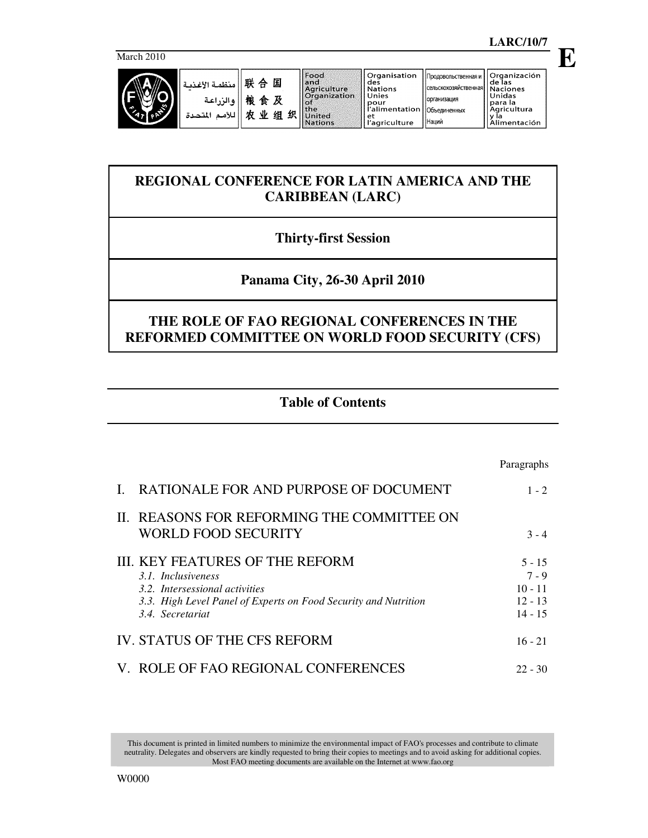March 2010





| منظمة الأغذسا<br>ه الن اعة<br>r.<br>∽<br>اللأمد<br>المتحدة | 联<br>国<br>合<br>桹<br>及<br>食<br>业<br>织<br>组<br>÷ | Food<br>land<br>Agriculture<br><b>Organization</b><br>kol<br>lithe<br><b>United</b><br><b>Nations</b> | ll Organisation<br>I des<br>  Nations<br>l Unies<br>ll pour<br>í l'alimentation   Объединенных<br>l et<br>l'agriculture | • Продовольственная и<br>Псельскохозяйственная   Naciones<br><b>Порганизация</b><br>I Наций | Organización<br>l de las<br>Unidas<br>l para la<br>l Aaricultura<br>"mentación" |
|------------------------------------------------------------|------------------------------------------------|-------------------------------------------------------------------------------------------------------|-------------------------------------------------------------------------------------------------------------------------|---------------------------------------------------------------------------------------------|---------------------------------------------------------------------------------|
|------------------------------------------------------------|------------------------------------------------|-------------------------------------------------------------------------------------------------------|-------------------------------------------------------------------------------------------------------------------------|---------------------------------------------------------------------------------------------|---------------------------------------------------------------------------------|

# **REGIONAL CONFERENCE FOR LATIN AMERICA AND THE CARIBBEAN (LARC)**

# **Thirty-first Session**

# **Panama City, 26-30 April 2010**

# **THE ROLE OF FAO REGIONAL CONFERENCES IN THE REFORMED COMMITTEE ON WORLD FOOD SECURITY (CFS)**

## **Table of Contents**

|                                                                                                                                                                                       | Paragraphs                                                 |
|---------------------------------------------------------------------------------------------------------------------------------------------------------------------------------------|------------------------------------------------------------|
| RATIONALE FOR AND PURPOSE OF DOCUMENT                                                                                                                                                 | $1 - 2$                                                    |
| II. REASONS FOR REFORMING THE COMMITTEE ON<br><b>WORLD FOOD SECURITY</b>                                                                                                              | $3 - 4$                                                    |
| <b>III. KEY FEATURES OF THE REFORM</b><br>3.1. Inclusiveness<br>3.2. Intersessional activities<br>3.3. High Level Panel of Experts on Food Security and Nutrition<br>3.4. Secretariat | $5 - 15$<br>$7 - 9$<br>$10 - 11$<br>$12 - 13$<br>$14 - 15$ |
| IV. STATUS OF THE CFS REFORM                                                                                                                                                          | $16 - 21$                                                  |
| V. ROLE OF FAO REGIONAL CONFERENCES                                                                                                                                                   | $22 - 30$                                                  |

This document is printed in limited numbers to minimize the environmental impact of FAO's processes and contribute to climate neutrality. Delegates and observers are kindly requested to bring their copies to meetings and to avoid asking for additional copies. Most FAO meeting documents are available on the Internet at www.fao.org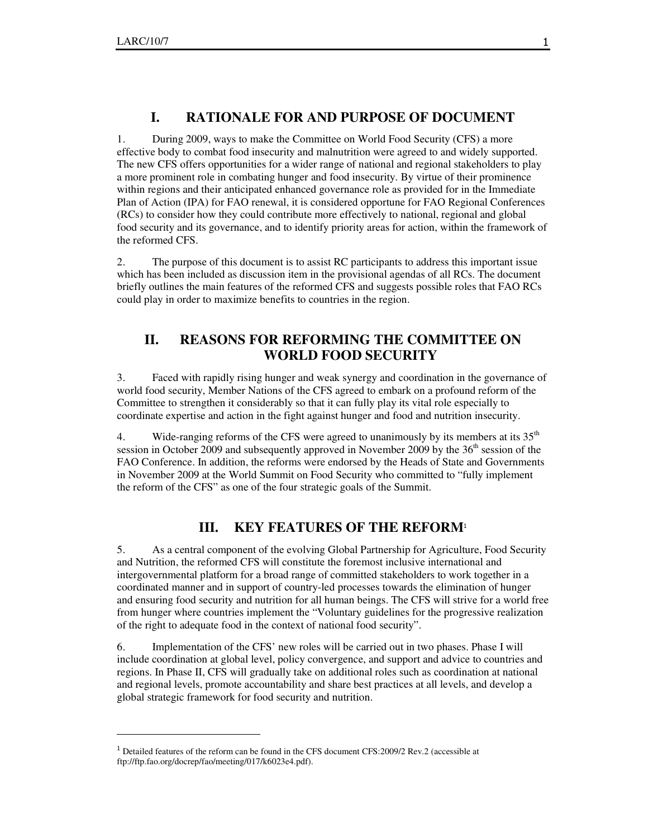$\overline{a}$ 

## **I. RATIONALE FOR AND PURPOSE OF DOCUMENT**

1. During 2009, ways to make the Committee on World Food Security (CFS) a more effective body to combat food insecurity and malnutrition were agreed to and widely supported. The new CFS offers opportunities for a wider range of national and regional stakeholders to play a more prominent role in combating hunger and food insecurity. By virtue of their prominence within regions and their anticipated enhanced governance role as provided for in the Immediate Plan of Action (IPA) for FAO renewal, it is considered opportune for FAO Regional Conferences (RCs) to consider how they could contribute more effectively to national, regional and global food security and its governance, and to identify priority areas for action, within the framework of the reformed CFS.

2. The purpose of this document is to assist RC participants to address this important issue which has been included as discussion item in the provisional agendas of all RCs. The document briefly outlines the main features of the reformed CFS and suggests possible roles that FAO RCs could play in order to maximize benefits to countries in the region.

## **II. REASONS FOR REFORMING THE COMMITTEE ON WORLD FOOD SECURITY**

3. Faced with rapidly rising hunger and weak synergy and coordination in the governance of world food security, Member Nations of the CFS agreed to embark on a profound reform of the Committee to strengthen it considerably so that it can fully play its vital role especially to coordinate expertise and action in the fight against hunger and food and nutrition insecurity.

4. Wide-ranging reforms of the CFS were agreed to unanimously by its members at its  $35<sup>th</sup>$ session in October 2009 and subsequently approved in November 2009 by the 36<sup>th</sup> session of the FAO Conference. In addition, the reforms were endorsed by the Heads of State and Governments in November 2009 at the World Summit on Food Security who committed to "fully implement the reform of the CFS" as one of the four strategic goals of the Summit.

## **III. KEY FEATURES OF THE REFORM**<sup>1</sup>

5. As a central component of the evolving Global Partnership for Agriculture, Food Security and Nutrition, the reformed CFS will constitute the foremost inclusive international and intergovernmental platform for a broad range of committed stakeholders to work together in a coordinated manner and in support of country-led processes towards the elimination of hunger and ensuring food security and nutrition for all human beings. The CFS will strive for a world free from hunger where countries implement the "Voluntary guidelines for the progressive realization of the right to adequate food in the context of national food security".

6. Implementation of the CFS' new roles will be carried out in two phases. Phase I will include coordination at global level, policy convergence, and support and advice to countries and regions. In Phase II, CFS will gradually take on additional roles such as coordination at national and regional levels, promote accountability and share best practices at all levels, and develop a global strategic framework for food security and nutrition.

<sup>&</sup>lt;sup>1</sup> Detailed features of the reform can be found in the CFS document CFS: 2009/2 Rev. 2 (accessible at ftp://ftp.fao.org/docrep/fao/meeting/017/k6023e4.pdf).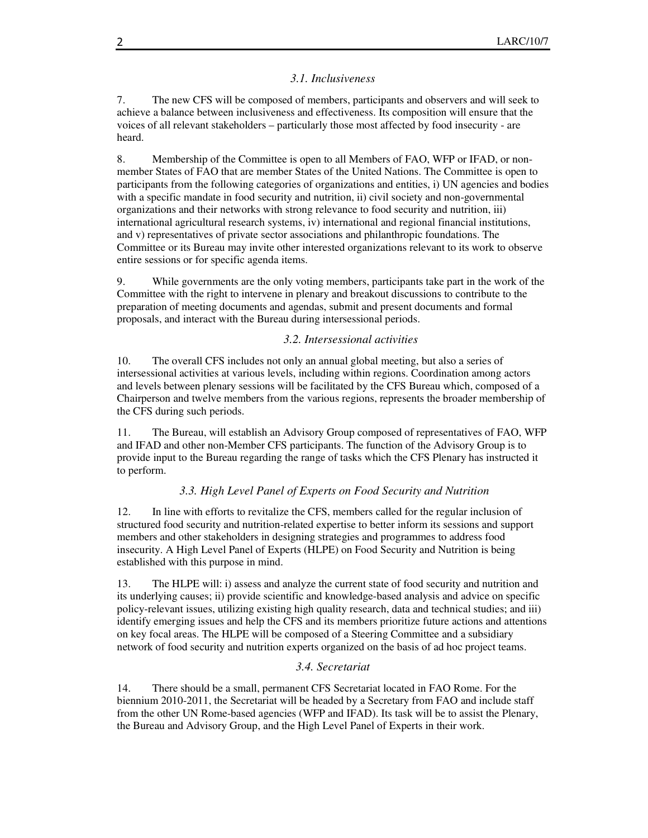#### *3.1. Inclusiveness*

7. The new CFS will be composed of members, participants and observers and will seek to achieve a balance between inclusiveness and effectiveness. Its composition will ensure that the voices of all relevant stakeholders – particularly those most affected by food insecurity - are heard.

8. Membership of the Committee is open to all Members of FAO, WFP or IFAD, or nonmember States of FAO that are member States of the United Nations. The Committee is open to participants from the following categories of organizations and entities, i) UN agencies and bodies with a specific mandate in food security and nutrition, ii) civil society and non-governmental organizations and their networks with strong relevance to food security and nutrition, iii) international agricultural research systems, iv) international and regional financial institutions, and v) representatives of private sector associations and philanthropic foundations. The Committee or its Bureau may invite other interested organizations relevant to its work to observe entire sessions or for specific agenda items.

9. While governments are the only voting members, participants take part in the work of the Committee with the right to intervene in plenary and breakout discussions to contribute to the preparation of meeting documents and agendas, submit and present documents and formal proposals, and interact with the Bureau during intersessional periods.

#### *3.2. Intersessional activities*

10. The overall CFS includes not only an annual global meeting, but also a series of intersessional activities at various levels, including within regions. Coordination among actors and levels between plenary sessions will be facilitated by the CFS Bureau which, composed of a Chairperson and twelve members from the various regions, represents the broader membership of the CFS during such periods.

11. The Bureau, will establish an Advisory Group composed of representatives of FAO, WFP and IFAD and other non-Member CFS participants. The function of the Advisory Group is to provide input to the Bureau regarding the range of tasks which the CFS Plenary has instructed it to perform.

#### *3.3. High Level Panel of Experts on Food Security and Nutrition*

12. In line with efforts to revitalize the CFS, members called for the regular inclusion of structured food security and nutrition-related expertise to better inform its sessions and support members and other stakeholders in designing strategies and programmes to address food insecurity. A High Level Panel of Experts (HLPE) on Food Security and Nutrition is being established with this purpose in mind.

13. The HLPE will: i) assess and analyze the current state of food security and nutrition and its underlying causes; ii) provide scientific and knowledge-based analysis and advice on specific policy-relevant issues, utilizing existing high quality research, data and technical studies; and iii) identify emerging issues and help the CFS and its members prioritize future actions and attentions on key focal areas. The HLPE will be composed of a Steering Committee and a subsidiary network of food security and nutrition experts organized on the basis of ad hoc project teams.

#### *3.4. Secretariat*

14. There should be a small, permanent CFS Secretariat located in FAO Rome. For the biennium 2010-2011, the Secretariat will be headed by a Secretary from FAO and include staff from the other UN Rome-based agencies (WFP and IFAD). Its task will be to assist the Plenary, the Bureau and Advisory Group, and the High Level Panel of Experts in their work.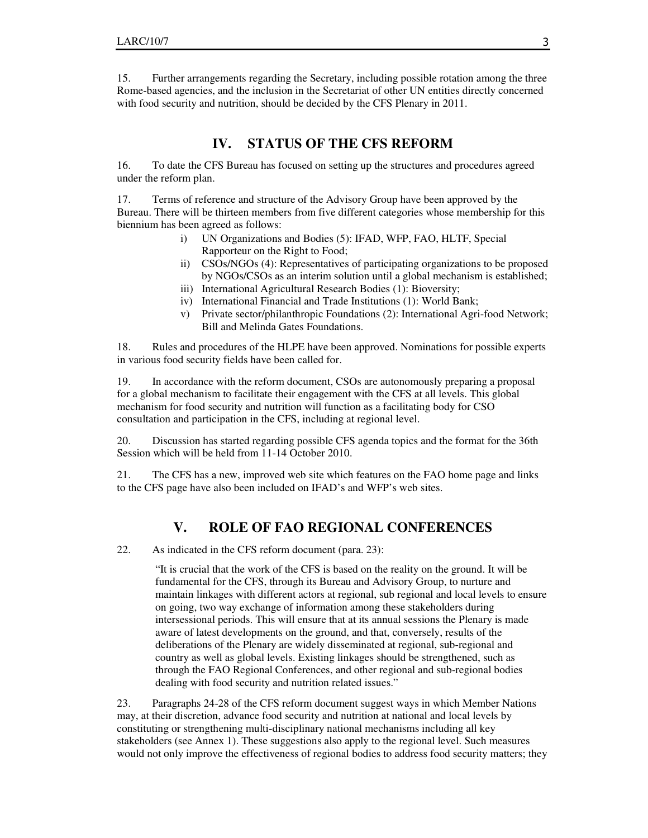15. Further arrangements regarding the Secretary, including possible rotation among the three Rome-based agencies, and the inclusion in the Secretariat of other UN entities directly concerned with food security and nutrition, should be decided by the CFS Plenary in 2011.

### **IV. STATUS OF THE CFS REFORM**

16. To date the CFS Bureau has focused on setting up the structures and procedures agreed under the reform plan.

17. Terms of reference and structure of the Advisory Group have been approved by the Bureau. There will be thirteen members from five different categories whose membership for this biennium has been agreed as follows:

- i) UN Organizations and Bodies (5): IFAD, WFP, FAO, HLTF, Special Rapporteur on the Right to Food;
- ii) CSOs/NGOs (4): Representatives of participating organizations to be proposed by NGOs/CSOs as an interim solution until a global mechanism is established;
- iii) International Agricultural Research Bodies (1): Bioversity;
- iv) International Financial and Trade Institutions (1): World Bank;
- v) Private sector/philanthropic Foundations (2): International Agri-food Network; Bill and Melinda Gates Foundations.

18. Rules and procedures of the HLPE have been approved. Nominations for possible experts in various food security fields have been called for.

19. In accordance with the reform document, CSOs are autonomously preparing a proposal for a global mechanism to facilitate their engagement with the CFS at all levels. This global mechanism for food security and nutrition will function as a facilitating body for CSO consultation and participation in the CFS, including at regional level.

20. Discussion has started regarding possible CFS agenda topics and the format for the 36th Session which will be held from 11-14 October 2010.

21. The CFS has a new, improved web site which features on the FAO home page and links to the CFS page have also been included on IFAD's and WFP's web sites.

## **V. ROLE OF FAO REGIONAL CONFERENCES**

22. As indicated in the CFS reform document (para. 23):

"It is crucial that the work of the CFS is based on the reality on the ground. It will be fundamental for the CFS, through its Bureau and Advisory Group, to nurture and maintain linkages with different actors at regional, sub regional and local levels to ensure on going, two way exchange of information among these stakeholders during intersessional periods. This will ensure that at its annual sessions the Plenary is made aware of latest developments on the ground, and that, conversely, results of the deliberations of the Plenary are widely disseminated at regional, sub-regional and country as well as global levels. Existing linkages should be strengthened, such as through the FAO Regional Conferences, and other regional and sub-regional bodies dealing with food security and nutrition related issues."

23. Paragraphs 24-28 of the CFS reform document suggest ways in which Member Nations may, at their discretion, advance food security and nutrition at national and local levels by constituting or strengthening multi-disciplinary national mechanisms including all key stakeholders (see Annex 1). These suggestions also apply to the regional level. Such measures would not only improve the effectiveness of regional bodies to address food security matters; they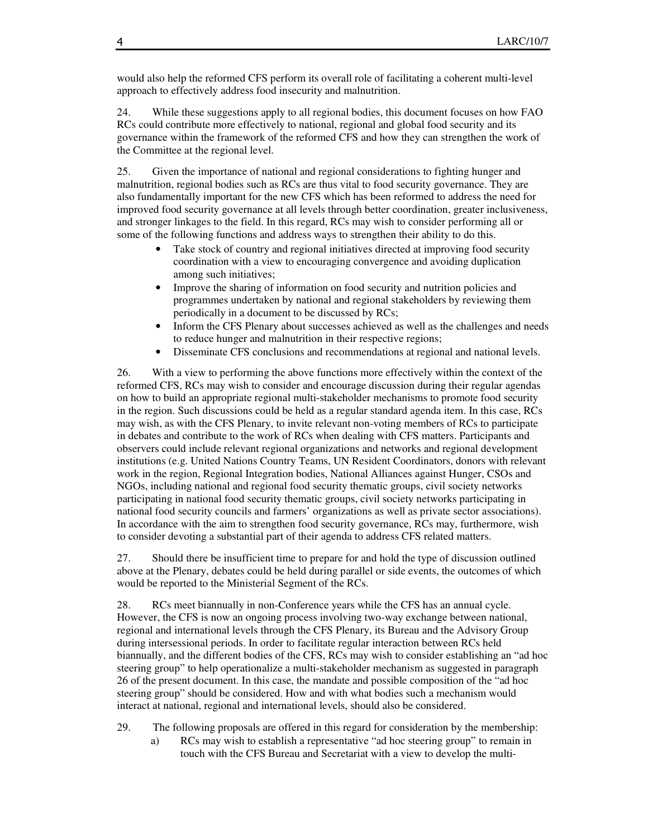would also help the reformed CFS perform its overall role of facilitating a coherent multi-level approach to effectively address food insecurity and malnutrition.

24. While these suggestions apply to all regional bodies, this document focuses on how FAO RCs could contribute more effectively to national, regional and global food security and its governance within the framework of the reformed CFS and how they can strengthen the work of the Committee at the regional level.

25. Given the importance of national and regional considerations to fighting hunger and malnutrition, regional bodies such as RCs are thus vital to food security governance. They are also fundamentally important for the new CFS which has been reformed to address the need for improved food security governance at all levels through better coordination, greater inclusiveness, and stronger linkages to the field. In this regard, RCs may wish to consider performing all or some of the following functions and address ways to strengthen their ability to do this.

- Take stock of country and regional initiatives directed at improving food security coordination with a view to encouraging convergence and avoiding duplication among such initiatives;
- Improve the sharing of information on food security and nutrition policies and programmes undertaken by national and regional stakeholders by reviewing them periodically in a document to be discussed by RCs;
- Inform the CFS Plenary about successes achieved as well as the challenges and needs to reduce hunger and malnutrition in their respective regions;
- Disseminate CFS conclusions and recommendations at regional and national levels.

26. With a view to performing the above functions more effectively within the context of the reformed CFS, RCs may wish to consider and encourage discussion during their regular agendas on how to build an appropriate regional multi-stakeholder mechanisms to promote food security in the region. Such discussions could be held as a regular standard agenda item. In this case, RCs may wish, as with the CFS Plenary, to invite relevant non-voting members of RCs to participate in debates and contribute to the work of RCs when dealing with CFS matters. Participants and observers could include relevant regional organizations and networks and regional development institutions (e.g. United Nations Country Teams, UN Resident Coordinators, donors with relevant work in the region, Regional Integration bodies, National Alliances against Hunger, CSOs and NGOs, including national and regional food security thematic groups, civil society networks participating in national food security thematic groups, civil society networks participating in national food security councils and farmers' organizations as well as private sector associations). In accordance with the aim to strengthen food security governance, RCs may, furthermore, wish to consider devoting a substantial part of their agenda to address CFS related matters.

27. Should there be insufficient time to prepare for and hold the type of discussion outlined above at the Plenary, debates could be held during parallel or side events, the outcomes of which would be reported to the Ministerial Segment of the RCs.

28. RCs meet biannually in non-Conference years while the CFS has an annual cycle. However, the CFS is now an ongoing process involving two-way exchange between national, regional and international levels through the CFS Plenary, its Bureau and the Advisory Group during intersessional periods. In order to facilitate regular interaction between RCs held biannually, and the different bodies of the CFS, RCs may wish to consider establishing an "ad hoc steering group" to help operationalize a multi-stakeholder mechanism as suggested in paragraph 26 of the present document. In this case, the mandate and possible composition of the "ad hoc steering group" should be considered. How and with what bodies such a mechanism would interact at national, regional and international levels, should also be considered.

- 29. The following proposals are offered in this regard for consideration by the membership:
	- a) RCs may wish to establish a representative "ad hoc steering group" to remain in touch with the CFS Bureau and Secretariat with a view to develop the multi-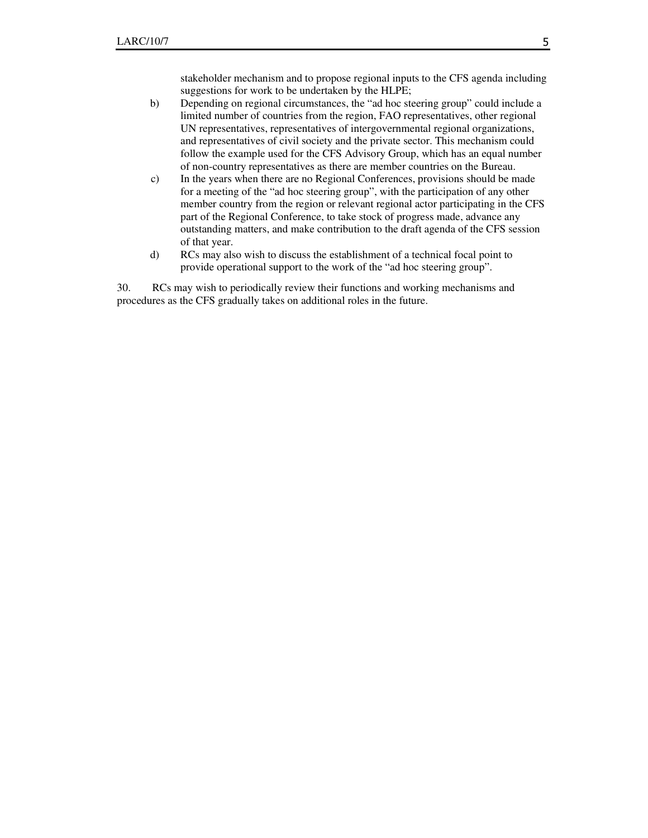stakeholder mechanism and to propose regional inputs to the CFS agenda including suggestions for work to be undertaken by the HLPE;

- b) Depending on regional circumstances, the "ad hoc steering group" could include a limited number of countries from the region, FAO representatives, other regional UN representatives, representatives of intergovernmental regional organizations, and representatives of civil society and the private sector. This mechanism could follow the example used for the CFS Advisory Group, which has an equal number of non-country representatives as there are member countries on the Bureau.
- c) In the years when there are no Regional Conferences, provisions should be made for a meeting of the "ad hoc steering group", with the participation of any other member country from the region or relevant regional actor participating in the CFS part of the Regional Conference, to take stock of progress made, advance any outstanding matters, and make contribution to the draft agenda of the CFS session of that year.
- d) RCs may also wish to discuss the establishment of a technical focal point to provide operational support to the work of the "ad hoc steering group".

30. RCs may wish to periodically review their functions and working mechanisms and procedures as the CFS gradually takes on additional roles in the future.